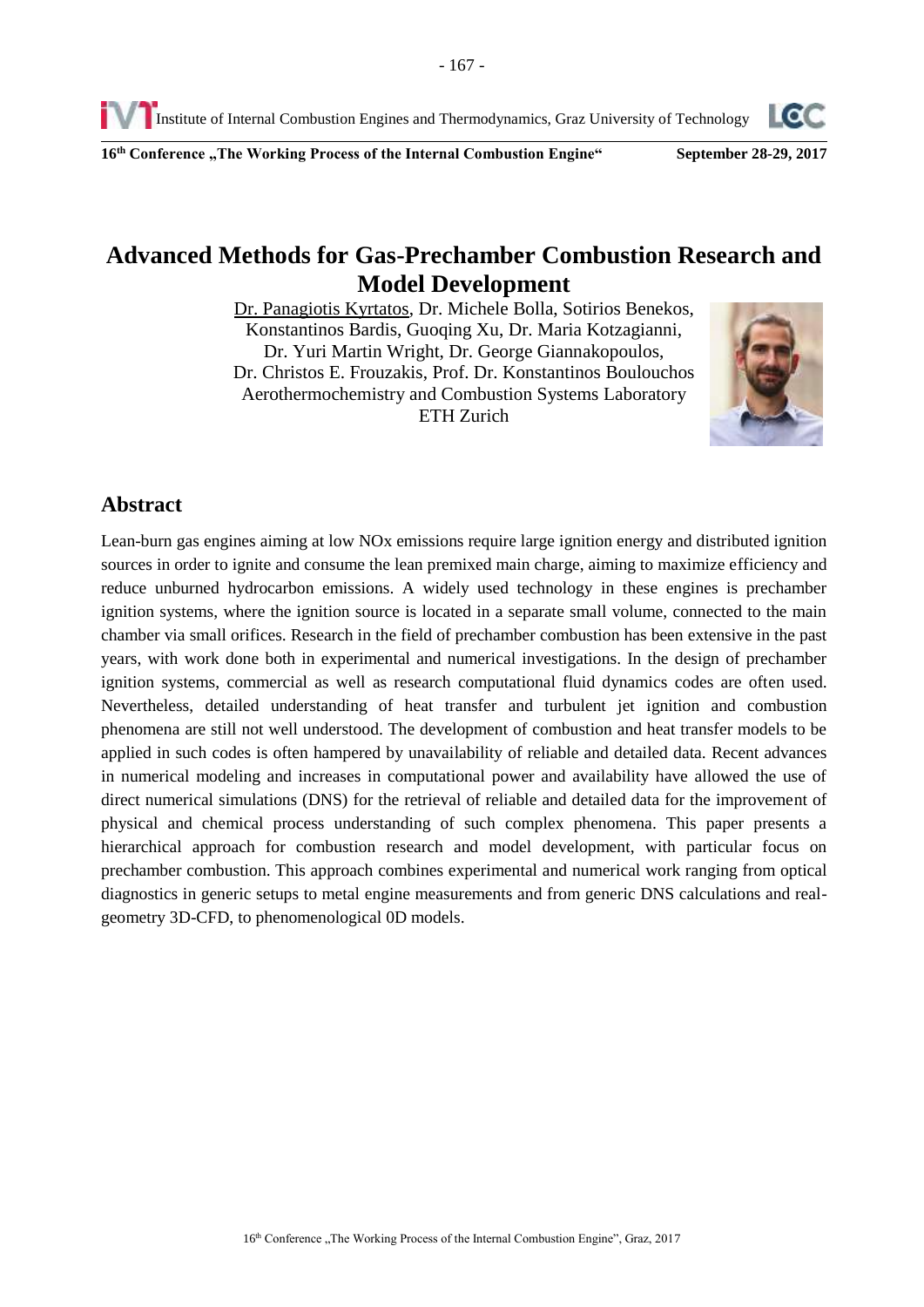Institute of Internal Combustion Engines and Thermodynamics, Graz University of Technology

**16 th Conference "The Working Process of the Internal Combustion Engine" September 28-29, 2017**

# **Advanced Methods for Gas-Prechamber Combustion Research and Model Development**

Dr. Panagiotis Kyrtatos, Dr. Michele Bolla, Sotirios Benekos, Konstantinos Bardis, Guoqing Xu, Dr. Maria Kotzagianni, Dr. Yuri Martin Wright, Dr. George Giannakopoulos, Dr. Christos E. Frouzakis, Prof. Dr. Konstantinos Boulouchos Aerothermochemistry and Combustion Systems Laboratory ETH Zurich



Lean-burn gas engines aiming at low NOx emissions require large ignition energy and distributed ignition sources in order to ignite and consume the lean premixed main charge, aiming to maximize efficiency and reduce unburned hydrocarbon emissions. A widely used technology in these engines is prechamber ignition systems, where the ignition source is located in a separate small volume, connected to the main chamber via small orifices. Research in the field of prechamber combustion has been extensive in the past years, with work done both in experimental and numerical investigations. In the design of prechamber ignition systems, commercial as well as research computational fluid dynamics codes are often used. Nevertheless, detailed understanding of heat transfer and turbulent jet ignition and combustion phenomena are still not well understood. The development of combustion and heat transfer models to be applied in such codes is often hampered by unavailability of reliable and detailed data. Recent advances in numerical modeling and increases in computational power and availability have allowed the use of direct numerical simulations (DNS) for the retrieval of reliable and detailed data for the improvement of physical and chemical process understanding of such complex phenomena. This paper presents a hierarchical approach for combustion research and model development, with particular focus on prechamber combustion. This approach combines experimental and numerical work ranging from optical diagnostics in generic setups to metal engine measurements and from generic DNS calculations and realgeometry 3D-CFD, to phenomenological 0D models.



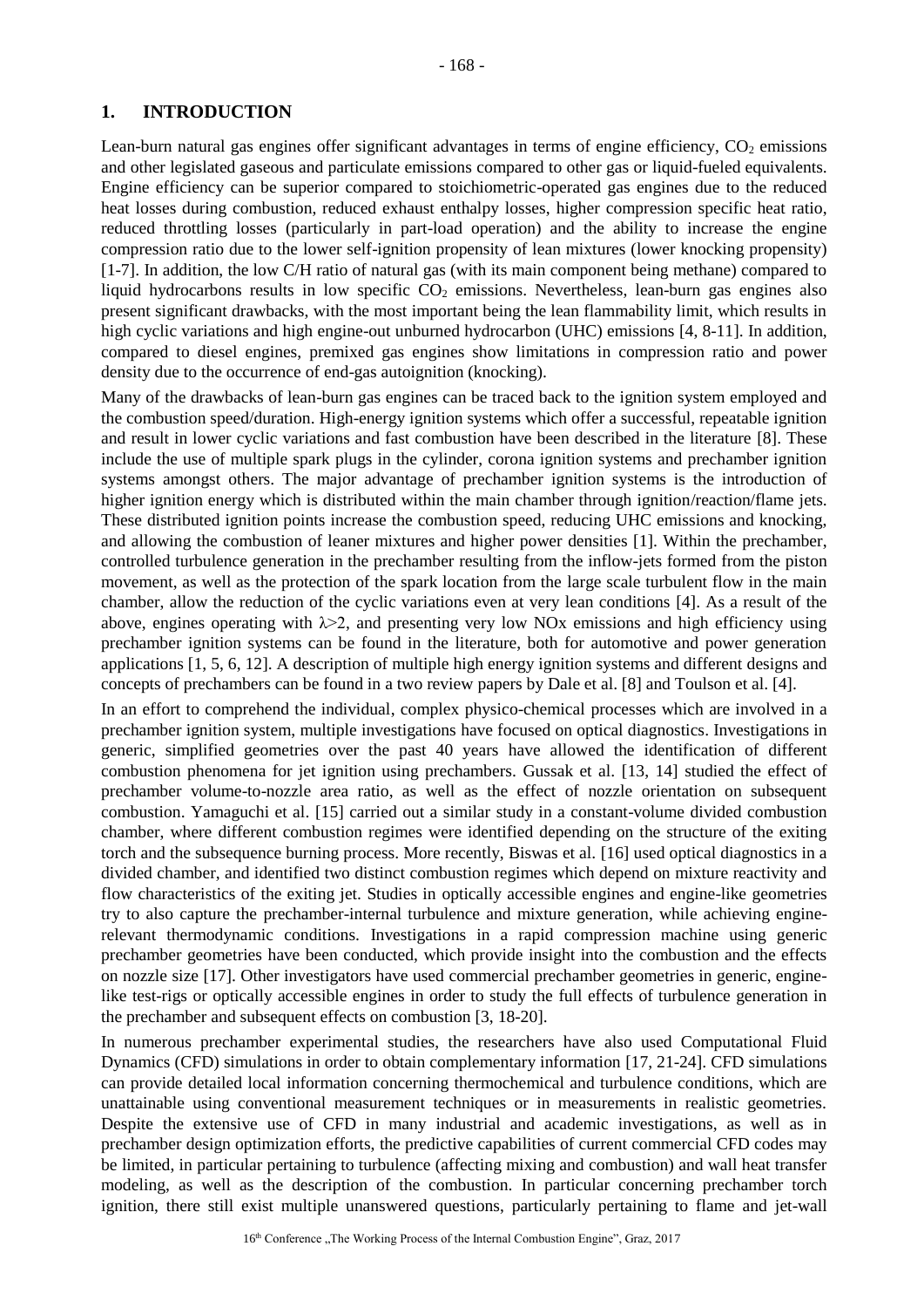# **1. INTRODUCTION**

Lean-burn natural gas engines offer significant advantages in terms of engine efficiency,  $CO<sub>2</sub>$  emissions and other legislated gaseous and particulate emissions compared to other gas or liquid-fueled equivalents. Engine efficiency can be superior compared to stoichiometric-operated gas engines due to the reduced heat losses during combustion, reduced exhaust enthalpy losses, higher compression specific heat ratio, reduced throttling losses (particularly in part-load operation) and the ability to increase the engine compression ratio due to the lower self-ignition propensity of lean mixtures (lower knocking propensity) [\[1-7\]](#page-14-0). In addition, the low C/H ratio of natural gas (with its main component being methane) compared to liquid hydrocarbons results in low specific  $CO<sub>2</sub>$  emissions. Nevertheless, lean-burn gas engines also present significant drawbacks, with the most important being the lean flammability limit, which results in high cyclic variations and high engine-out unburned hydrocarbon (UHC) emissions [\[4,](#page-14-1) [8-11\]](#page-14-2). In addition, compared to diesel engines, premixed gas engines show limitations in compression ratio and power density due to the occurrence of end-gas autoignition (knocking).

Many of the drawbacks of lean-burn gas engines can be traced back to the ignition system employed and the combustion speed/duration. High-energy ignition systems which offer a successful, repeatable ignition and result in lower cyclic variations and fast combustion have been described in the literature [\[8\]](#page-14-2). These include the use of multiple spark plugs in the cylinder, corona ignition systems and prechamber ignition systems amongst others. The major advantage of prechamber ignition systems is the introduction of higher ignition energy which is distributed within the main chamber through ignition/reaction/flame jets. These distributed ignition points increase the combustion speed, reducing UHC emissions and knocking, and allowing the combustion of leaner mixtures and higher power densities [\[1\]](#page-14-0). Within the prechamber, controlled turbulence generation in the prechamber resulting from the inflow-jets formed from the piston movement, as well as the protection of the spark location from the large scale turbulent flow in the main chamber, allow the reduction of the cyclic variations even at very lean conditions [\[4\]](#page-14-1). As a result of the above, engines operating with  $\lambda > 2$ , and presenting very low NO<sub>x</sub> emissions and high efficiency using prechamber ignition systems can be found in the literature, both for automotive and power generation applications [\[1,](#page-14-0) [5,](#page-14-3) [6,](#page-14-4) [12\]](#page-14-5). A description of multiple high energy ignition systems and different designs and concepts of prechambers can be found in a two review papers by Dale et al. [\[8\]](#page-14-2) and Toulson et al. [\[4\]](#page-14-1).

In an effort to comprehend the individual, complex physico-chemical processes which are involved in a prechamber ignition system, multiple investigations have focused on optical diagnostics. Investigations in generic, simplified geometries over the past 40 years have allowed the identification of different combustion phenomena for jet ignition using prechambers. Gussak et al. [\[13,](#page-14-6) [14\]](#page-14-7) studied the effect of prechamber volume-to-nozzle area ratio, as well as the effect of nozzle orientation on subsequent combustion. Yamaguchi et al. [\[15\]](#page-14-8) carried out a similar study in a constant-volume divided combustion chamber, where different combustion regimes were identified depending on the structure of the exiting torch and the subsequence burning process. More recently, Biswas et al. [\[16\]](#page-14-9) used optical diagnostics in a divided chamber, and identified two distinct combustion regimes which depend on mixture reactivity and flow characteristics of the exiting jet. Studies in optically accessible engines and engine-like geometries try to also capture the prechamber-internal turbulence and mixture generation, while achieving enginerelevant thermodynamic conditions. Investigations in a rapid compression machine using generic prechamber geometries have been conducted, which provide insight into the combustion and the effects on nozzle size [\[17\]](#page-14-10). Other investigators have used commercial prechamber geometries in generic, enginelike test-rigs or optically accessible engines in order to study the full effects of turbulence generation in the prechamber and subsequent effects on combustion [\[3,](#page-14-11) [18-20\]](#page-15-0).

In numerous prechamber experimental studies, the researchers have also used Computational Fluid Dynamics (CFD) simulations in order to obtain complementary information [\[17,](#page-14-10) [21-24\]](#page-15-1). CFD simulations can provide detailed local information concerning thermochemical and turbulence conditions, which are unattainable using conventional measurement techniques or in measurements in realistic geometries. Despite the extensive use of CFD in many industrial and academic investigations, as well as in prechamber design optimization efforts, the predictive capabilities of current commercial CFD codes may be limited, in particular pertaining to turbulence (affecting mixing and combustion) and wall heat transfer modeling, as well as the description of the combustion. In particular concerning prechamber torch ignition, there still exist multiple unanswered questions, particularly pertaining to flame and jet-wall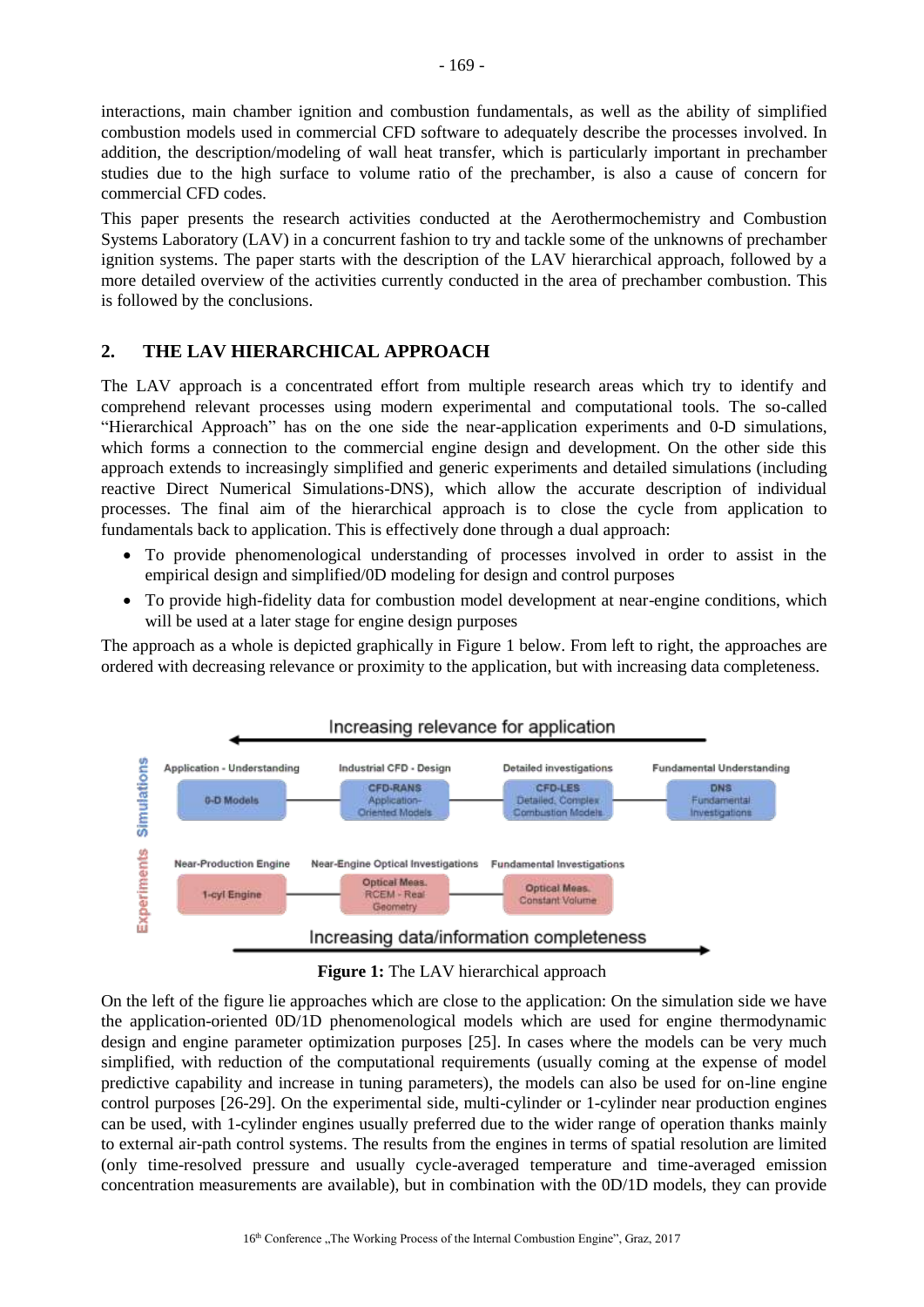interactions, main chamber ignition and combustion fundamentals, as well as the ability of simplified combustion models used in commercial CFD software to adequately describe the processes involved. In addition, the description/modeling of wall heat transfer, which is particularly important in prechamber studies due to the high surface to volume ratio of the prechamber, is also a cause of concern for commercial CFD codes.

This paper presents the research activities conducted at the Aerothermochemistry and Combustion Systems Laboratory (LAV) in a concurrent fashion to try and tackle some of the unknowns of prechamber ignition systems. The paper starts with the description of the LAV hierarchical approach, followed by a more detailed overview of the activities currently conducted in the area of prechamber combustion. This is followed by the conclusions.

# <span id="page-2-1"></span>**2. THE LAV HIERARCHICAL APPROACH**

The LAV approach is a concentrated effort from multiple research areas which try to identify and comprehend relevant processes using modern experimental and computational tools. The so-called "Hierarchical Approach" has on the one side the near-application experiments and 0-D simulations, which forms a connection to the commercial engine design and development. On the other side this approach extends to increasingly simplified and generic experiments and detailed simulations (including reactive Direct Numerical Simulations-DNS), which allow the accurate description of individual processes. The final aim of the hierarchical approach is to close the cycle from application to fundamentals back to application. This is effectively done through a dual approach:

- To provide phenomenological understanding of processes involved in order to assist in the empirical design and simplified/0D modeling for design and control purposes
- To provide high-fidelity data for combustion model development at near-engine conditions, which will be used at a later stage for engine design purposes

The approach as a whole is depicted graphically in [Figure 1](#page-2-0) below. From left to right, the approaches are ordered with decreasing relevance or proximity to the application, but with increasing data completeness.



**Figure 1:** The LAV hierarchical approach

<span id="page-2-0"></span>On the left of the figure lie approaches which are close to the application: On the simulation side we have the application-oriented 0D/1D phenomenological models which are used for engine thermodynamic design and engine parameter optimization purposes [\[25\]](#page-15-2). In cases where the models can be very much simplified, with reduction of the computational requirements (usually coming at the expense of model predictive capability and increase in tuning parameters), the models can also be used for on-line engine control purposes [\[26-29\]](#page-15-3). On the experimental side, multi-cylinder or 1-cylinder near production engines can be used, with 1-cylinder engines usually preferred due to the wider range of operation thanks mainly to external air-path control systems. The results from the engines in terms of spatial resolution are limited (only time-resolved pressure and usually cycle-averaged temperature and time-averaged emission concentration measurements are available), but in combination with the 0D/1D models, they can provide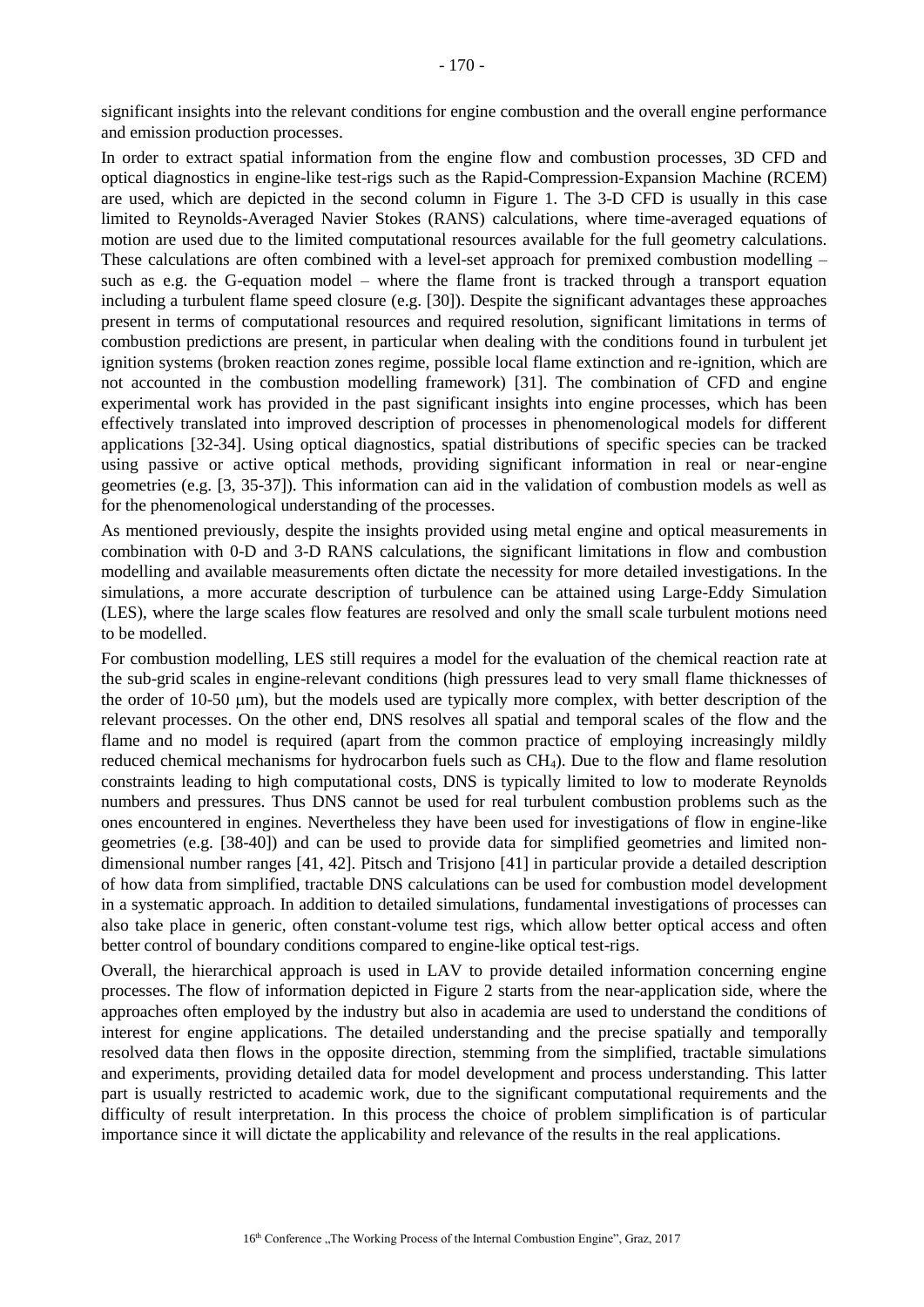significant insights into the relevant conditions for engine combustion and the overall engine performance and emission production processes.

In order to extract spatial information from the engine flow and combustion processes, 3D CFD and optical diagnostics in engine-like test-rigs such as the Rapid-Compression-Expansion Machine (RCEM) are used, which are depicted in the second column in [Figure 1.](#page-2-0) The 3-D CFD is usually in this case limited to Reynolds-Averaged Navier Stokes (RANS) calculations, where time-averaged equations of motion are used due to the limited computational resources available for the full geometry calculations. These calculations are often combined with a level-set approach for premixed combustion modelling – such as e.g. the G-equation model – where the flame front is tracked through a transport equation including a turbulent flame speed closure (e.g. [\[30\]](#page-15-4)). Despite the significant advantages these approaches present in terms of computational resources and required resolution, significant limitations in terms of combustion predictions are present, in particular when dealing with the conditions found in turbulent jet ignition systems (broken reaction zones regime, possible local flame extinction and re-ignition, which are not accounted in the combustion modelling framework) [\[31\]](#page-15-5). The combination of CFD and engine experimental work has provided in the past significant insights into engine processes, which has been effectively translated into improved description of processes in phenomenological models for different applications [\[32-34\]](#page-15-6). Using optical diagnostics, spatial distributions of specific species can be tracked using passive or active optical methods, providing significant information in real or near-engine geometries (e.g. [\[3,](#page-14-11) [35-37\]](#page-15-7)). This information can aid in the validation of combustion models as well as for the phenomenological understanding of the processes.

As mentioned previously, despite the insights provided using metal engine and optical measurements in combination with 0-D and 3-D RANS calculations, the significant limitations in flow and combustion modelling and available measurements often dictate the necessity for more detailed investigations. In the simulations, a more accurate description of turbulence can be attained using Large-Eddy Simulation (LES), where the large scales flow features are resolved and only the small scale turbulent motions need to be modelled.

For combustion modelling, LES still requires a model for the evaluation of the chemical reaction rate at the sub-grid scales in engine-relevant conditions (high pressures lead to very small flame thicknesses of the order of 10-50 µm), but the models used are typically more complex, with better description of the relevant processes. On the other end, DNS resolves all spatial and temporal scales of the flow and the flame and no model is required (apart from the common practice of employing increasingly mildly reduced chemical mechanisms for hydrocarbon fuels such as CH4). Due to the flow and flame resolution constraints leading to high computational costs, DNS is typically limited to low to moderate Reynolds numbers and pressures. Thus DNS cannot be used for real turbulent combustion problems such as the ones encountered in engines. Nevertheless they have been used for investigations of flow in engine-like geometries (e.g. [\[38-40\]](#page-16-0)) and can be used to provide data for simplified geometries and limited nondimensional number ranges [\[41,](#page-16-1) [42\]](#page-16-2). Pitsch and Trisjono [\[41\]](#page-16-1) in particular provide a detailed description of how data from simplified, tractable DNS calculations can be used for combustion model development in a systematic approach. In addition to detailed simulations, fundamental investigations of processes can also take place in generic, often constant-volume test rigs, which allow better optical access and often better control of boundary conditions compared to engine-like optical test-rigs.

Overall, the hierarchical approach is used in LAV to provide detailed information concerning engine processes. The flow of information depicted in [Figure 2](#page-4-0) starts from the near-application side, where the approaches often employed by the industry but also in academia are used to understand the conditions of interest for engine applications. The detailed understanding and the precise spatially and temporally resolved data then flows in the opposite direction, stemming from the simplified, tractable simulations and experiments, providing detailed data for model development and process understanding. This latter part is usually restricted to academic work, due to the significant computational requirements and the difficulty of result interpretation. In this process the choice of problem simplification is of particular importance since it will dictate the applicability and relevance of the results in the real applications.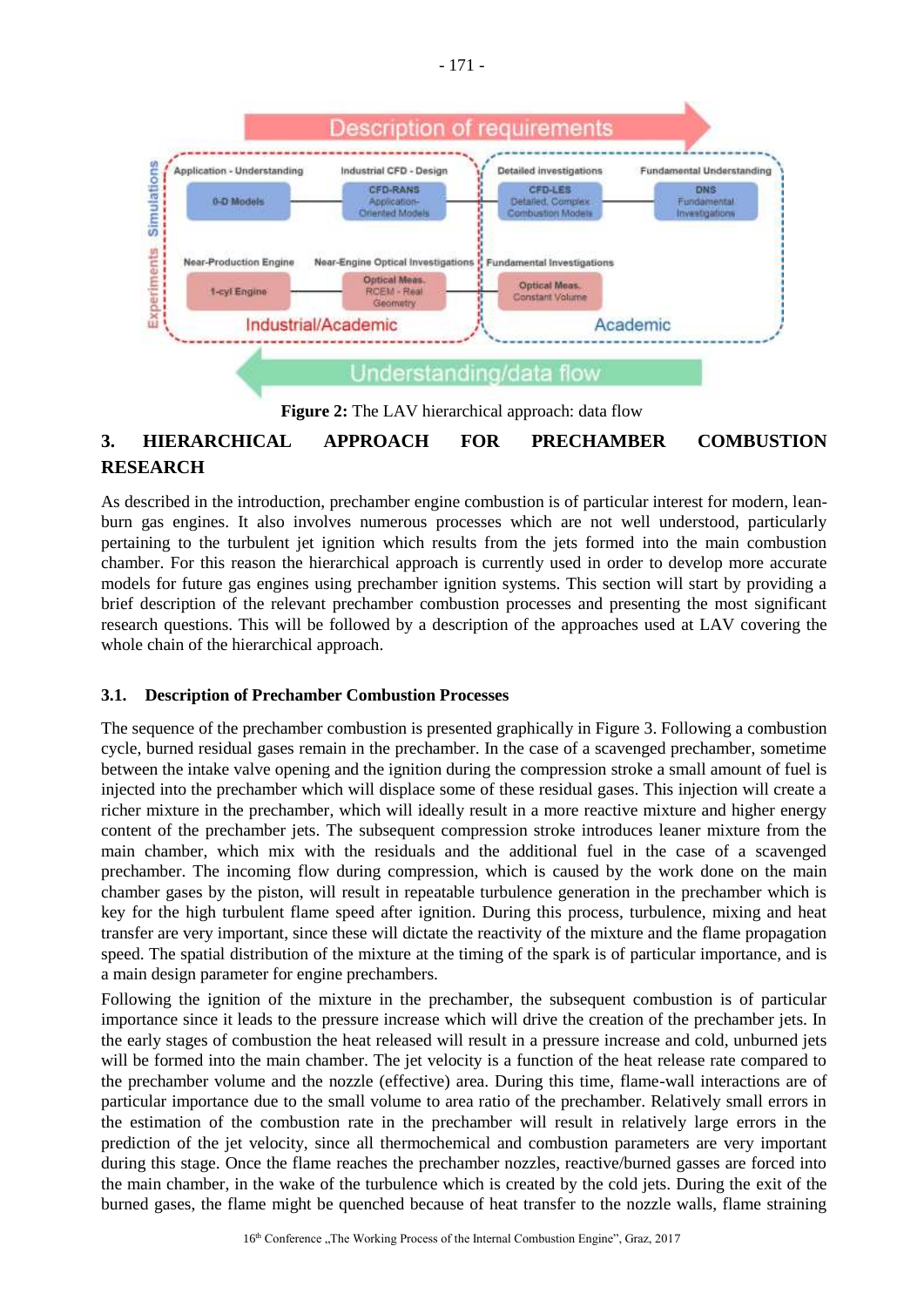

**Figure 2:** The LAV hierarchical approach: data flow

# <span id="page-4-0"></span>**3. HIERARCHICAL APPROACH FOR PRECHAMBER COMBUSTION RESEARCH**

As described in the introduction, prechamber engine combustion is of particular interest for modern, leanburn gas engines. It also involves numerous processes which are not well understood, particularly pertaining to the turbulent jet ignition which results from the jets formed into the main combustion chamber. For this reason the hierarchical approach is currently used in order to develop more accurate models for future gas engines using prechamber ignition systems. This section will start by providing a brief description of the relevant prechamber combustion processes and presenting the most significant research questions. This will be followed by a description of the approaches used at LAV covering the whole chain of the hierarchical approach.

# **3.1. Description of Prechamber Combustion Processes**

The sequence of the prechamber combustion is presented graphically in [Figure 3.](#page-5-0) Following a combustion cycle, burned residual gases remain in the prechamber. In the case of a scavenged prechamber, sometime between the intake valve opening and the ignition during the compression stroke a small amount of fuel is injected into the prechamber which will displace some of these residual gases. This injection will create a richer mixture in the prechamber, which will ideally result in a more reactive mixture and higher energy content of the prechamber jets. The subsequent compression stroke introduces leaner mixture from the main chamber, which mix with the residuals and the additional fuel in the case of a scavenged prechamber. The incoming flow during compression, which is caused by the work done on the main chamber gases by the piston, will result in repeatable turbulence generation in the prechamber which is key for the high turbulent flame speed after ignition. During this process, turbulence, mixing and heat transfer are very important, since these will dictate the reactivity of the mixture and the flame propagation speed. The spatial distribution of the mixture at the timing of the spark is of particular importance, and is a main design parameter for engine prechambers.

Following the ignition of the mixture in the prechamber, the subsequent combustion is of particular importance since it leads to the pressure increase which will drive the creation of the prechamber jets. In the early stages of combustion the heat released will result in a pressure increase and cold, unburned jets will be formed into the main chamber. The jet velocity is a function of the heat release rate compared to the prechamber volume and the nozzle (effective) area. During this time, flame-wall interactions are of particular importance due to the small volume to area ratio of the prechamber. Relatively small errors in the estimation of the combustion rate in the prechamber will result in relatively large errors in the prediction of the jet velocity, since all thermochemical and combustion parameters are very important during this stage. Once the flame reaches the prechamber nozzles, reactive/burned gasses are forced into the main chamber, in the wake of the turbulence which is created by the cold jets. During the exit of the burned gases, the flame might be quenched because of heat transfer to the nozzle walls, flame straining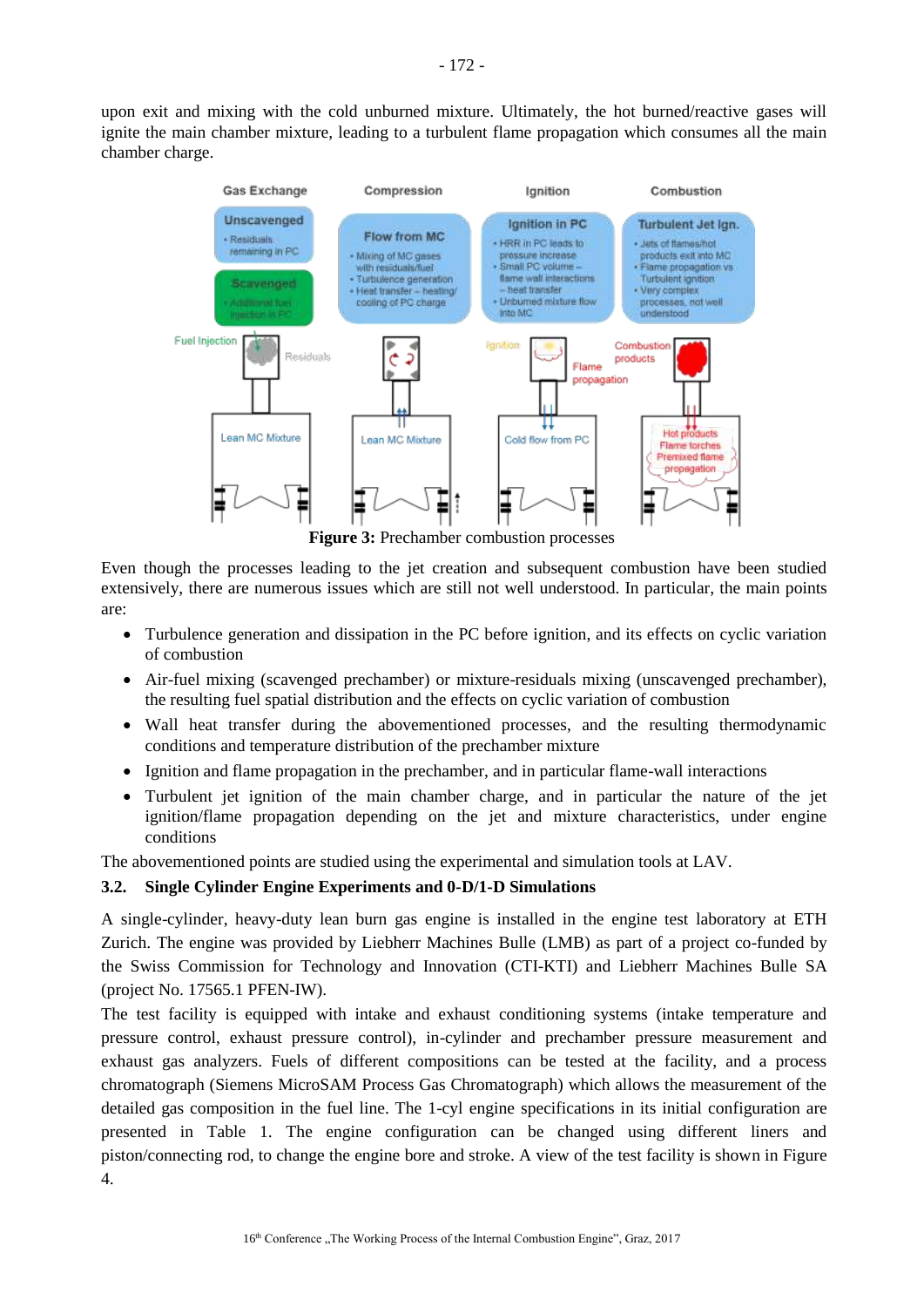upon exit and mixing with the cold unburned mixture. Ultimately, the hot burned/reactive gases will ignite the main chamber mixture, leading to a turbulent flame propagation which consumes all the main chamber charge.



**Figure 3:** Prechamber combustion processes

<span id="page-5-0"></span>Even though the processes leading to the jet creation and subsequent combustion have been studied extensively, there are numerous issues which are still not well understood. In particular, the main points are:

- Turbulence generation and dissipation in the PC before ignition, and its effects on cyclic variation of combustion
- Air-fuel mixing (scavenged prechamber) or mixture-residuals mixing (unscavenged prechamber), the resulting fuel spatial distribution and the effects on cyclic variation of combustion
- Wall heat transfer during the abovementioned processes, and the resulting thermodynamic conditions and temperature distribution of the prechamber mixture
- Ignition and flame propagation in the prechamber, and in particular flame-wall interactions
- Turbulent jet ignition of the main chamber charge, and in particular the nature of the jet ignition/flame propagation depending on the jet and mixture characteristics, under engine conditions

The abovementioned points are studied using the experimental and simulation tools at LAV.

# **3.2. Single Cylinder Engine Experiments and 0-D/1-D Simulations**

A single-cylinder, heavy-duty lean burn gas engine is installed in the engine test laboratory at ETH Zurich. The engine was provided by Liebherr Machines Bulle (LMB) as part of a project co-funded by the Swiss Commission for Technology and Innovation (CTI-KTI) and Liebherr Machines Bulle SA (project No. 17565.1 PFEN-IW).

The test facility is equipped with intake and exhaust conditioning systems (intake temperature and pressure control, exhaust pressure control), in-cylinder and prechamber pressure measurement and exhaust gas analyzers. Fuels of different compositions can be tested at the facility, and a process chromatograph (Siemens MicroSAM Process Gas Chromatograph) which allows the measurement of the detailed gas composition in the fuel line. The 1-cyl engine specifications in its initial configuration are presented in [Table 1.](#page-6-0) The engine configuration can be changed using different liners and piston/connecting rod, to change the engine bore and stroke. A view of the test facility is shown in [Figure](#page-6-1)  [4.](#page-6-1)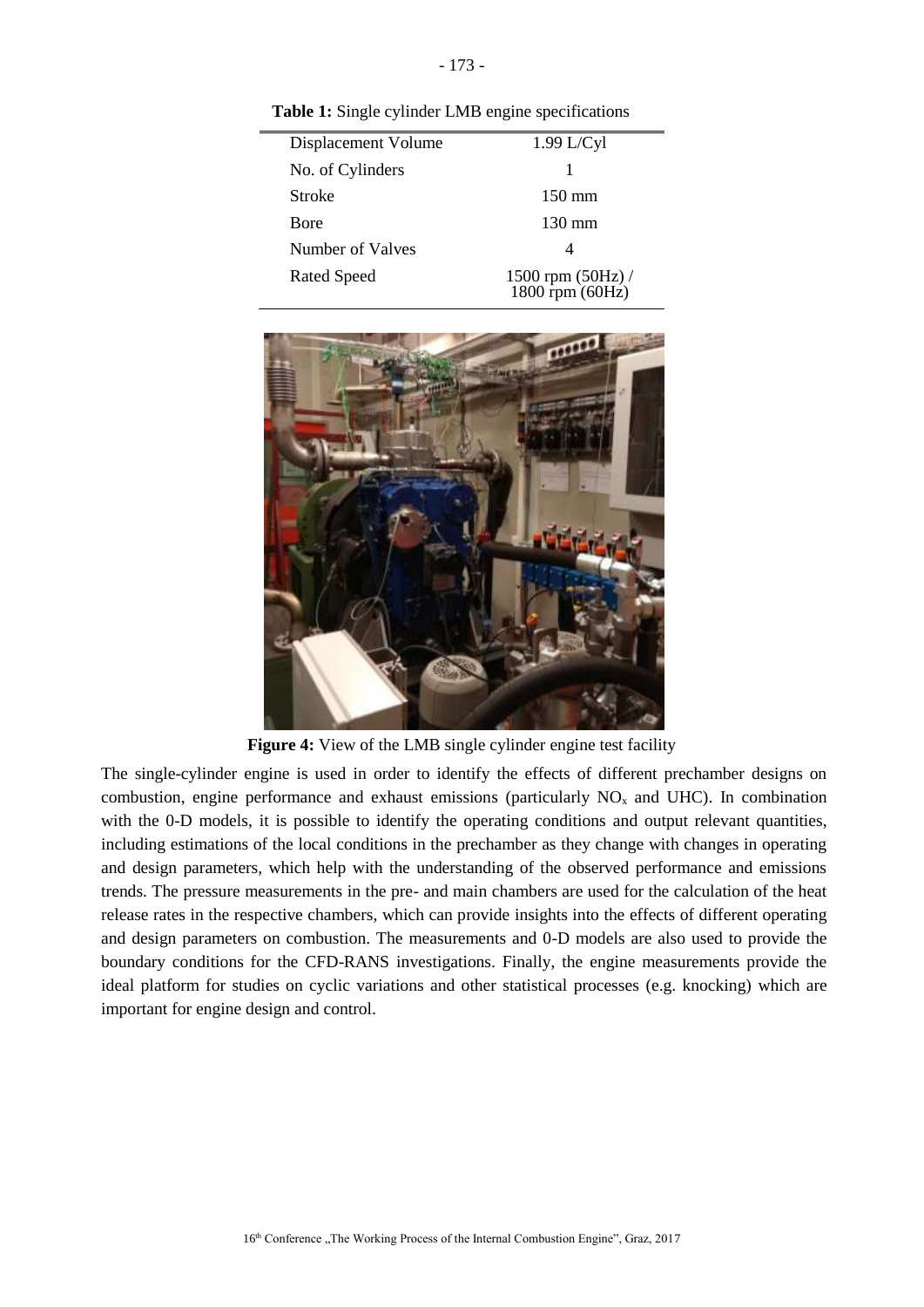<span id="page-6-0"></span>**Table 1:** Single cylinder LMB engine specifications

| Displacement Volume | $1.99$ L/Cyl                         |
|---------------------|--------------------------------------|
| No. of Cylinders    |                                      |
| Stroke              | $150 \text{ mm}$                     |
| Bore                | $130 \text{ mm}$                     |
| Number of Valves    | 4                                    |
| <b>Rated Speed</b>  | 1500 rpm (50Hz) /<br>1800 rpm (60Hz) |



**Figure 4:** View of the LMB single cylinder engine test facility

<span id="page-6-1"></span>The single-cylinder engine is used in order to identify the effects of different prechamber designs on combustion, engine performance and exhaust emissions (particularly  $NO<sub>x</sub>$  and UHC). In combination with the 0-D models, it is possible to identify the operating conditions and output relevant quantities, including estimations of the local conditions in the prechamber as they change with changes in operating and design parameters, which help with the understanding of the observed performance and emissions trends. The pressure measurements in the pre- and main chambers are used for the calculation of the heat release rates in the respective chambers, which can provide insights into the effects of different operating and design parameters on combustion. The measurements and 0-D models are also used to provide the boundary conditions for the CFD-RANS investigations. Finally, the engine measurements provide the ideal platform for studies on cyclic variations and other statistical processes (e.g. knocking) which are important for engine design and control.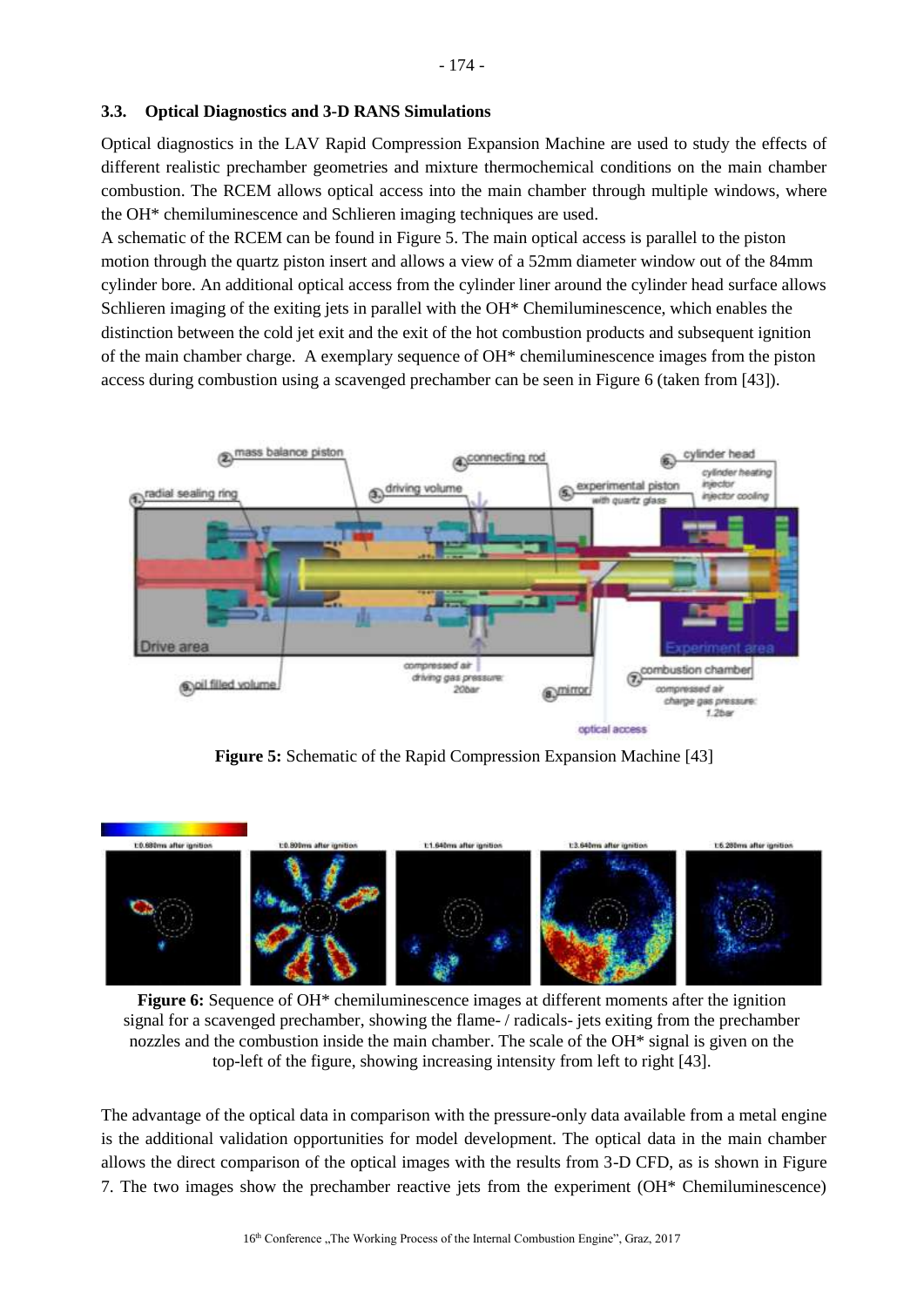Optical diagnostics in the LAV Rapid Compression Expansion Machine are used to study the effects of different realistic prechamber geometries and mixture thermochemical conditions on the main chamber combustion. The RCEM allows optical access into the main chamber through multiple windows, where the OH\* chemiluminescence and Schlieren imaging techniques are used.

A schematic of the RCEM can be found in [Figure 5.](#page-7-0) The main optical access is parallel to the piston motion through the quartz piston insert and allows a view of a 52mm diameter window out of the 84mm cylinder bore. An additional optical access from the cylinder liner around the cylinder head surface allows Schlieren imaging of the exiting jets in parallel with the OH\* Chemiluminescence, which enables the distinction between the cold jet exit and the exit of the hot combustion products and subsequent ignition of the main chamber charge. A exemplary sequence of OH\* chemiluminescence images from the piston access during combustion using a scavenged prechamber can be seen in [Figure 6](#page-7-1) (taken from [\[43\]](#page-16-3)).



**Figure 5:** Schematic of the Rapid Compression Expansion Machine [\[43\]](#page-16-3)

<span id="page-7-0"></span>

**Figure 6:** Sequence of OH\* chemiluminescence images at different moments after the ignition signal for a scavenged prechamber, showing the flame- / radicals- jets exiting from the prechamber nozzles and the combustion inside the main chamber. The scale of the OH\* signal is given on the top-left of the figure, showing increasing intensity from left to right [\[43\]](#page-16-3).

<span id="page-7-1"></span>The advantage of the optical data in comparison with the pressure-only data available from a metal engine is the additional validation opportunities for model development. The optical data in the main chamber allows the direct comparison of the optical images with the results from 3-D CFD, as is shown in [Figure](#page-8-0)  [7.](#page-8-0) The two images show the prechamber reactive jets from the experiment (OH\* Chemiluminescence)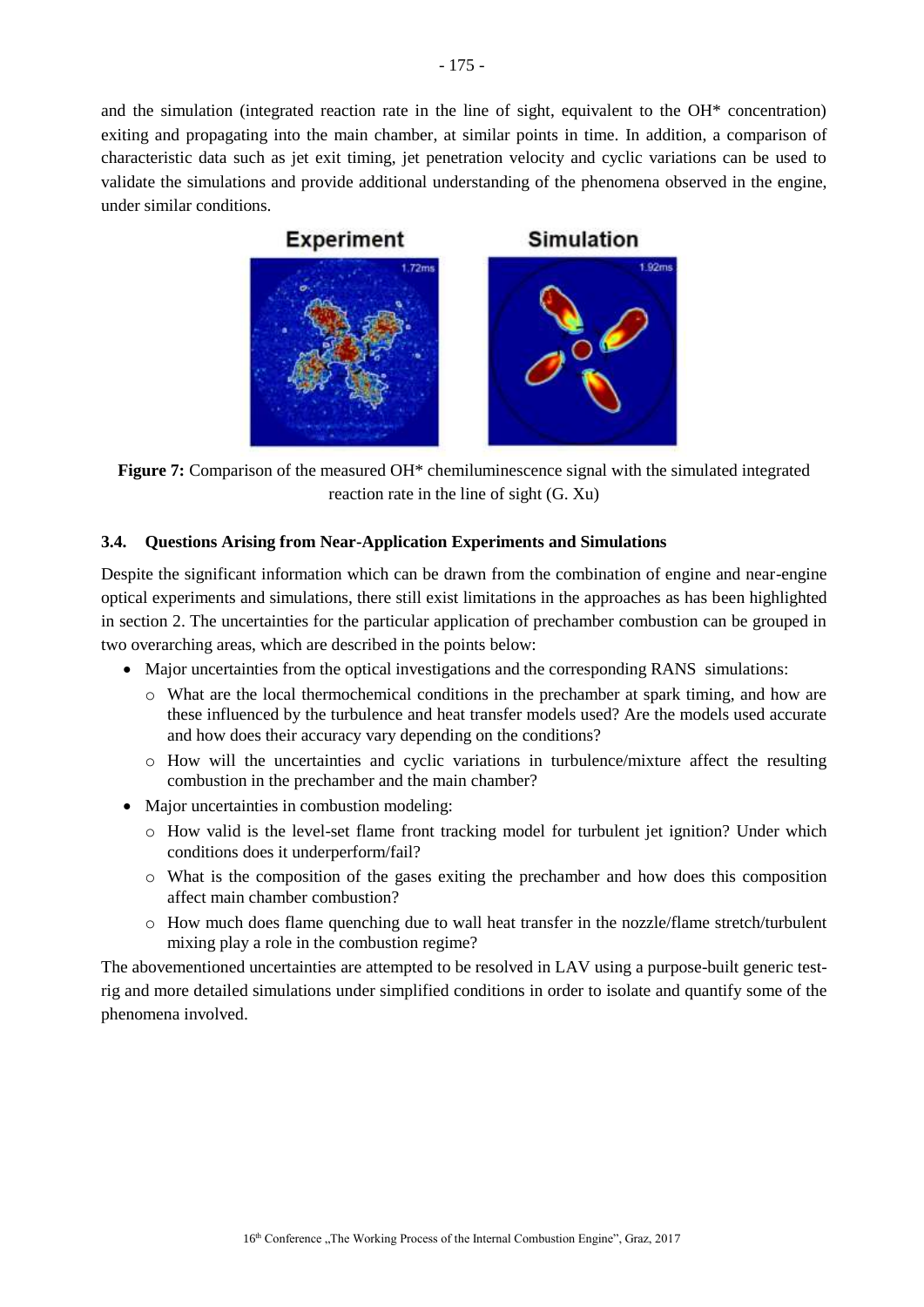and the simulation (integrated reaction rate in the line of sight, equivalent to the OH\* concentration) exiting and propagating into the main chamber, at similar points in time. In addition, a comparison of characteristic data such as jet exit timing, jet penetration velocity and cyclic variations can be used to validate the simulations and provide additional understanding of the phenomena observed in the engine, under similar conditions.



<span id="page-8-0"></span>**Figure 7:** Comparison of the measured OH<sup>\*</sup> chemiluminescence signal with the simulated integrated reaction rate in the line of sight (G. Xu)

### **3.4. Questions Arising from Near-Application Experiments and Simulations**

Despite the significant information which can be drawn from the combination of engine and near-engine optical experiments and simulations, there still exist limitations in the approaches as has been highlighted in section [2.](#page-2-1) The uncertainties for the particular application of prechamber combustion can be grouped in two overarching areas, which are described in the points below:

- Major uncertainties from the optical investigations and the corresponding RANS simulations:
	- $\circ$  What are the local thermochemical conditions in the prechamber at spark timing, and how are these influenced by the turbulence and heat transfer models used? Are the models used accurate and how does their accuracy vary depending on the conditions?
	- $\circ$  How will the uncertainties and cyclic variations in turbulence/mixture affect the resulting combustion in the prechamber and the main chamber?
- Major uncertainties in combustion modeling:
	- $\circ$  How valid is the level-set flame front tracking model for turbulent jet ignition? Under which conditions does it underperform/fail?
	- o What is the composition of the gases exiting the prechamber and how does this composition affect main chamber combustion?
	- o How much does flame quenching due to wall heat transfer in the nozzle/flame stretch/turbulent mixing play a role in the combustion regime?

The abovementioned uncertainties are attempted to be resolved in LAV using a purpose-built generic testrig and more detailed simulations under simplified conditions in order to isolate and quantify some of the phenomena involved.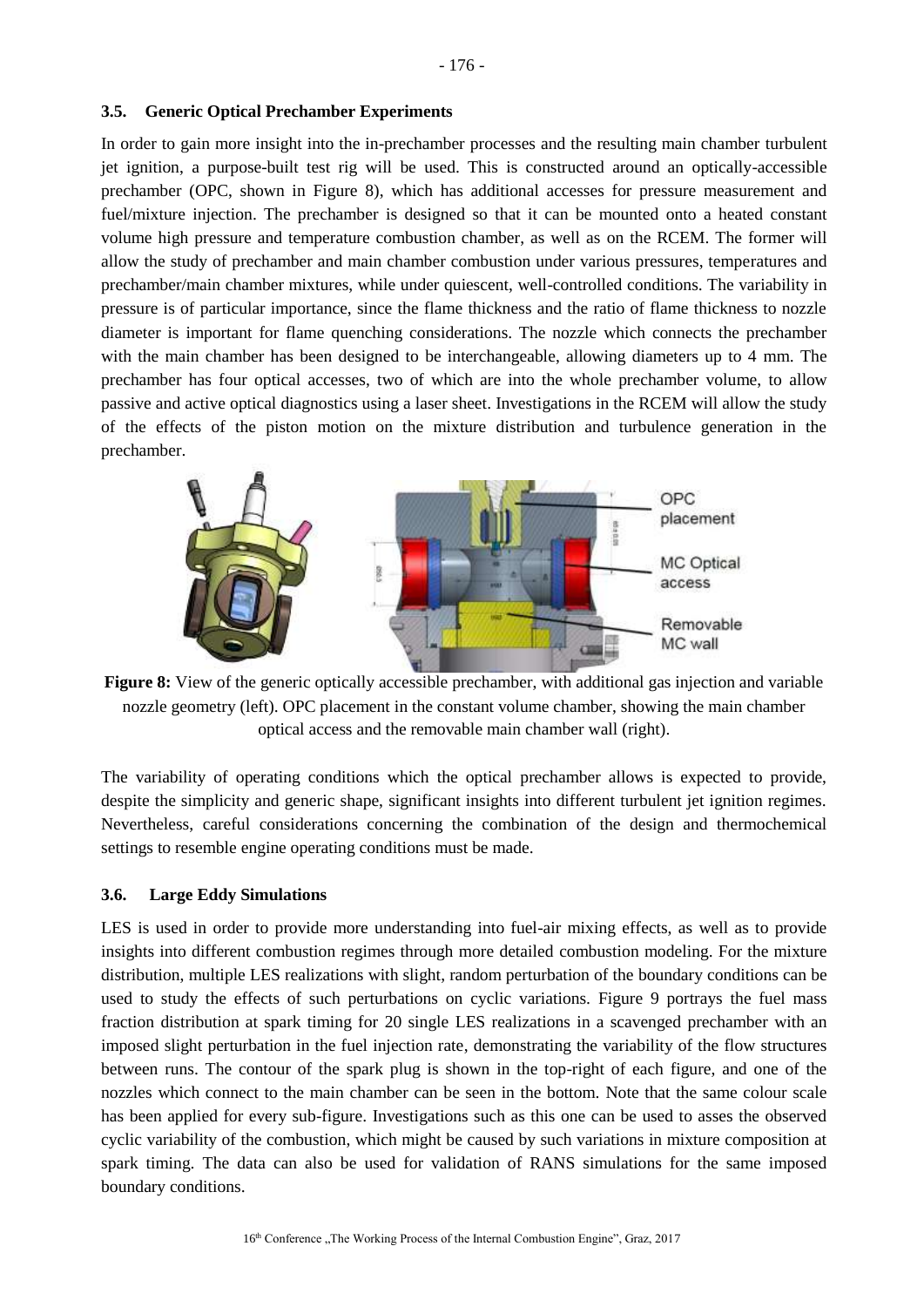In order to gain more insight into the in-prechamber processes and the resulting main chamber turbulent jet ignition, a purpose-built test rig will be used. This is constructed around an optically-accessible prechamber (OPC, shown in [Figure 8\)](#page-9-0), which has additional accesses for pressure measurement and fuel/mixture injection. The prechamber is designed so that it can be mounted onto a heated constant volume high pressure and temperature combustion chamber, as well as on the RCEM. The former will allow the study of prechamber and main chamber combustion under various pressures, temperatures and prechamber/main chamber mixtures, while under quiescent, well-controlled conditions. The variability in pressure is of particular importance, since the flame thickness and the ratio of flame thickness to nozzle diameter is important for flame quenching considerations. The nozzle which connects the prechamber with the main chamber has been designed to be interchangeable, allowing diameters up to 4 mm. The prechamber has four optical accesses, two of which are into the whole prechamber volume, to allow passive and active optical diagnostics using a laser sheet. Investigations in the RCEM will allow the study of the effects of the piston motion on the mixture distribution and turbulence generation in the prechamber.



<span id="page-9-0"></span>**Figure 8:** View of the generic optically accessible prechamber, with additional gas injection and variable nozzle geometry (left). OPC placement in the constant volume chamber, showing the main chamber optical access and the removable main chamber wall (right).

The variability of operating conditions which the optical prechamber allows is expected to provide, despite the simplicity and generic shape, significant insights into different turbulent jet ignition regimes. Nevertheless, careful considerations concerning the combination of the design and thermochemical settings to resemble engine operating conditions must be made.

#### **3.6. Large Eddy Simulations**

LES is used in order to provide more understanding into fuel-air mixing effects, as well as to provide insights into different combustion regimes through more detailed combustion modeling. For the mixture distribution, multiple LES realizations with slight, random perturbation of the boundary conditions can be used to study the effects of such perturbations on cyclic variations. [Figure 9](#page-10-0) portrays the fuel mass fraction distribution at spark timing for 20 single LES realizations in a scavenged prechamber with an imposed slight perturbation in the fuel injection rate, demonstrating the variability of the flow structures between runs. The contour of the spark plug is shown in the top-right of each figure, and one of the nozzles which connect to the main chamber can be seen in the bottom. Note that the same colour scale has been applied for every sub-figure. Investigations such as this one can be used to asses the observed cyclic variability of the combustion, which might be caused by such variations in mixture composition at spark timing. The data can also be used for validation of RANS simulations for the same imposed boundary conditions.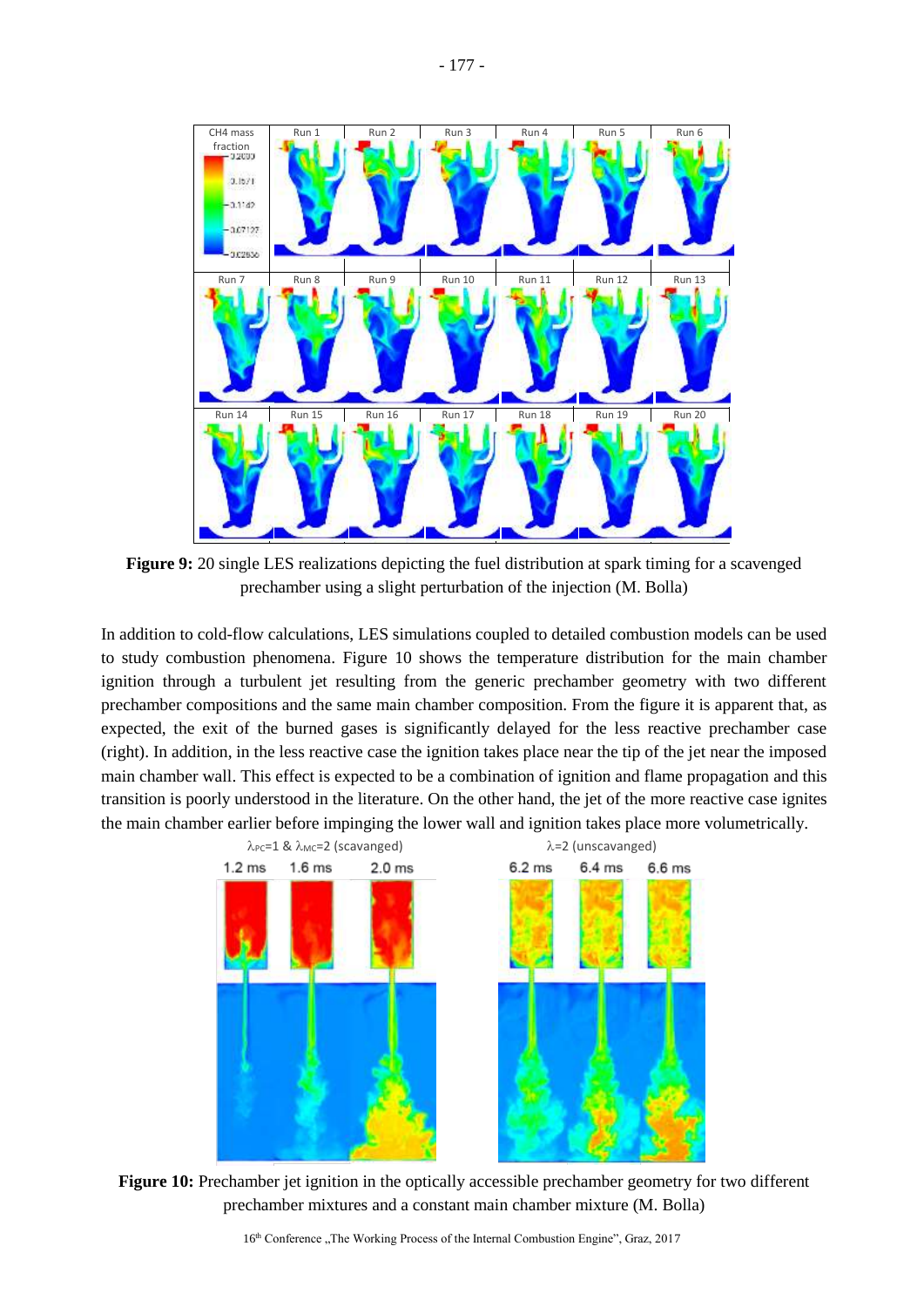

<span id="page-10-0"></span>**Figure 9:** 20 single LES realizations depicting the fuel distribution at spark timing for a scavenged prechamber using a slight perturbation of the injection (M. Bolla)

In addition to cold-flow calculations, LES simulations coupled to detailed combustion models can be used to study combustion phenomena. [Figure 10](#page-10-1) shows the temperature distribution for the main chamber ignition through a turbulent jet resulting from the generic prechamber geometry with two different prechamber compositions and the same main chamber composition. From the figure it is apparent that, as expected, the exit of the burned gases is significantly delayed for the less reactive prechamber case (right). In addition, in the less reactive case the ignition takes place near the tip of the jet near the imposed main chamber wall. This effect is expected to be a combination of ignition and flame propagation and this transition is poorly understood in the literature. On the other hand, the jet of the more reactive case ignites the main chamber earlier before impinging the lower wall and ignition takes place more volumetrically.



<span id="page-10-1"></span>**Figure 10:** Prechamber jet ignition in the optically accessible prechamber geometry for two different prechamber mixtures and a constant main chamber mixture (M. Bolla)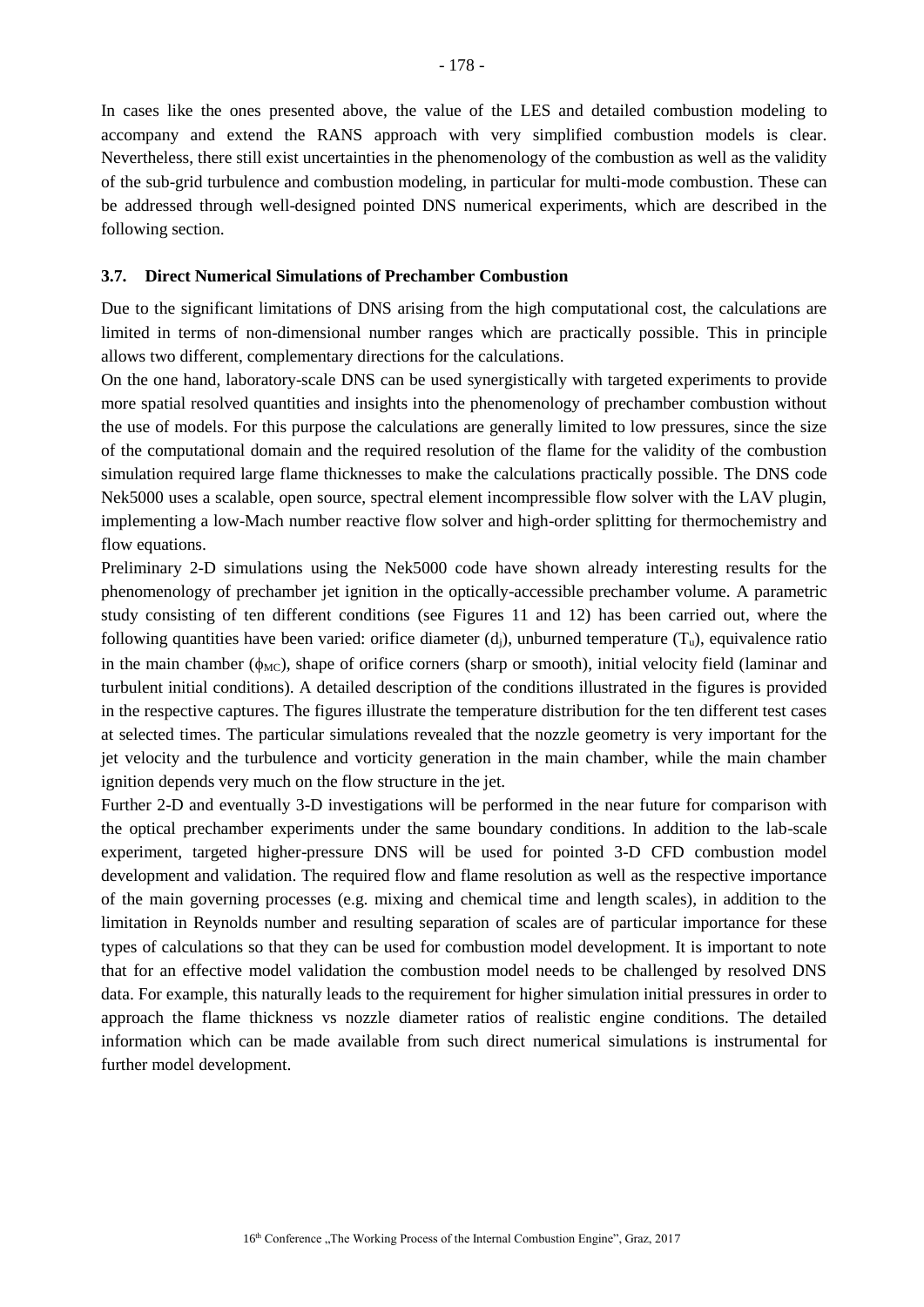In cases like the ones presented above, the value of the LES and detailed combustion modeling to accompany and extend the RANS approach with very simplified combustion models is clear. Nevertheless, there still exist uncertainties in the phenomenology of the combustion as well as the validity of the sub-grid turbulence and combustion modeling, in particular for multi-mode combustion. These can be addressed through well-designed pointed DNS numerical experiments, which are described in the following section.

#### **3.7. Direct Numerical Simulations of Prechamber Combustion**

Due to the significant limitations of DNS arising from the high computational cost, the calculations are limited in terms of non-dimensional number ranges which are practically possible. This in principle allows two different, complementary directions for the calculations.

On the one hand, laboratory-scale DNS can be used synergistically with targeted experiments to provide more spatial resolved quantities and insights into the phenomenology of prechamber combustion without the use of models. For this purpose the calculations are generally limited to low pressures, since the size of the computational domain and the required resolution of the flame for the validity of the combustion simulation required large flame thicknesses to make the calculations practically possible. The DNS code Nek5000 uses a scalable, open source, spectral element incompressible flow solver with the LAV plugin, implementing a low-Mach number reactive flow solver and high-order splitting for thermochemistry and flow equations.

Preliminary 2-D simulations using the Nek5000 code have shown already interesting results for the phenomenology of prechamber jet ignition in the optically-accessible prechamber volume. A parametric study consisting of ten different conditions (see Figures 11 and 12) has been carried out, where the following quantities have been varied: orifice diameter  $(d<sub>i</sub>)$ , unburned temperature  $(T<sub>u</sub>)$ , equivalence ratio in the main chamber ( $\phi_{MC}$ ), shape of orifice corners (sharp or smooth), initial velocity field (laminar and turbulent initial conditions). A detailed description of the conditions illustrated in the figures is provided in the respective captures. The figures illustrate the temperature distribution for the ten different test cases at selected times. The particular simulations revealed that the nozzle geometry is very important for the jet velocity and the turbulence and vorticity generation in the main chamber, while the main chamber ignition depends very much on the flow structure in the jet.

Further 2-D and eventually 3-D investigations will be performed in the near future for comparison with the optical prechamber experiments under the same boundary conditions. In addition to the lab-scale experiment, targeted higher-pressure DNS will be used for pointed 3-D CFD combustion model development and validation. The required flow and flame resolution as well as the respective importance of the main governing processes (e.g. mixing and chemical time and length scales), in addition to the limitation in Reynolds number and resulting separation of scales are of particular importance for these types of calculations so that they can be used for combustion model development. It is important to note that for an effective model validation the combustion model needs to be challenged by resolved DNS data. For example, this naturally leads to the requirement for higher simulation initial pressures in order to approach the flame thickness vs nozzle diameter ratios of realistic engine conditions. The detailed information which can be made available from such direct numerical simulations is instrumental for further model development.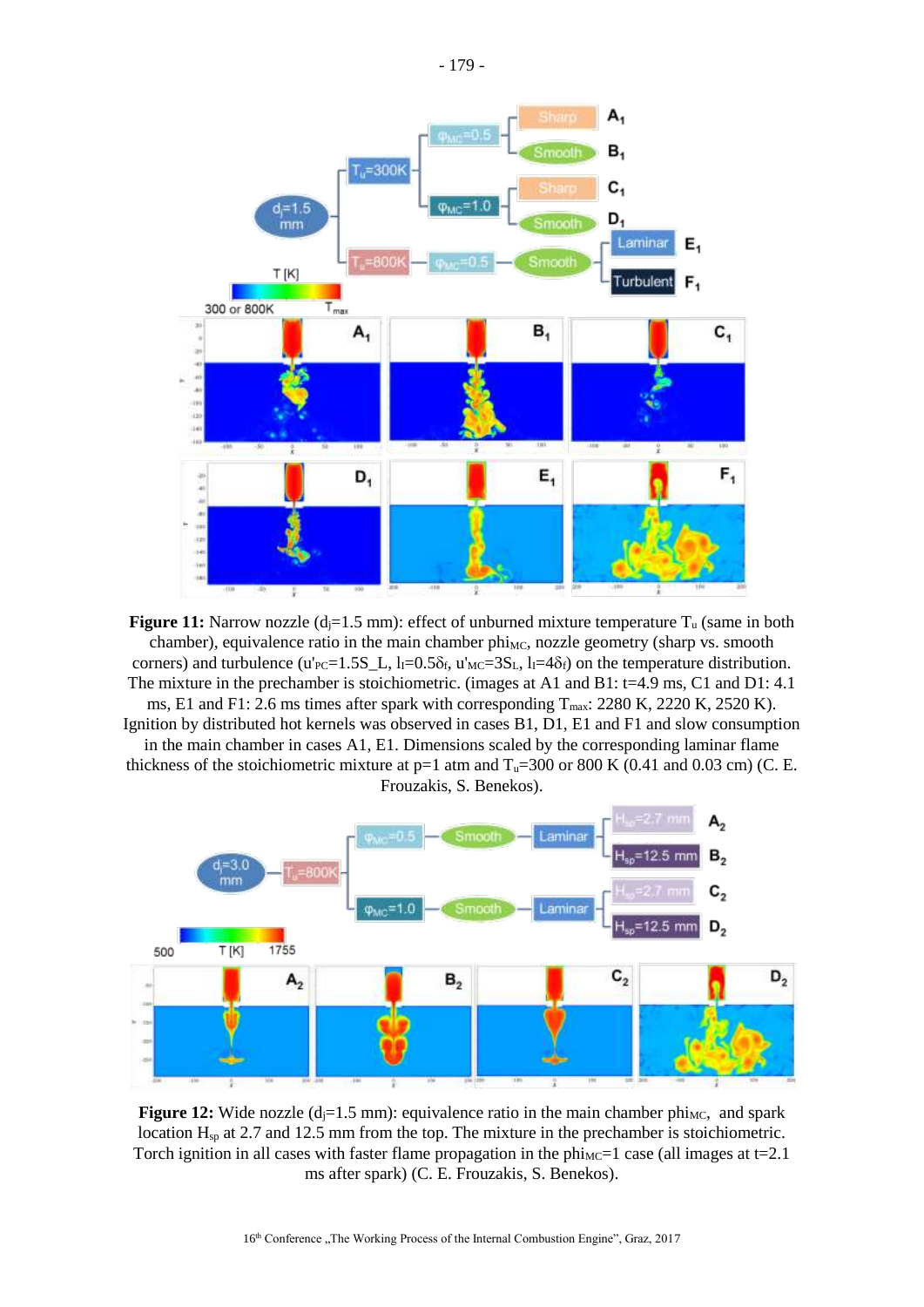

**Figure 11:** Narrow nozzle  $(d_i=1.5 \text{ mm})$ : effect of unburned mixture temperature  $T_u$  (same in both chamber), equivalence ratio in the main chamber phi<sub>MC</sub>, nozzle geometry (sharp vs. smooth corners) and turbulence (u'<sub>PC</sub>=1.5S\_L, l<sub>I</sub>=0.5 $\delta$ <sub>f</sub>, u'<sub>MC</sub>=3S<sub>L</sub>, l<sub>I</sub>=4 $\delta$ <sub>f</sub>) on the temperature distribution. The mixture in the prechamber is stoichiometric. (images at A1 and B1: t=4.9 ms, C1 and D1: 4.1)

ms, E1 and F1: 2.6 ms times after spark with corresponding  $T_{\text{max}}$ : 2280 K, 2220 K, 2520 K). Ignition by distributed hot kernels was observed in cases B1, D1, E1 and F1 and slow consumption

in the main chamber in cases A1, E1. Dimensions scaled by the corresponding laminar flame thickness of the stoichiometric mixture at  $p=1$  atm and  $T_u=300$  or 800 K (0.41 and 0.03 cm) (C. E. Frouzakis, S. Benekos).



**Figure 12:** Wide nozzle  $(d_i=1.5 \text{ mm})$ : equivalence ratio in the main chamber phi<sub>MC</sub>, and spark location Hsp at 2.7 and 12.5 mm from the top. The mixture in the prechamber is stoichiometric. Torch ignition in all cases with faster flame propagation in the  $ph_{MC}=1$  case (all images at t=2.1 ms after spark) (C. E. Frouzakis, S. Benekos).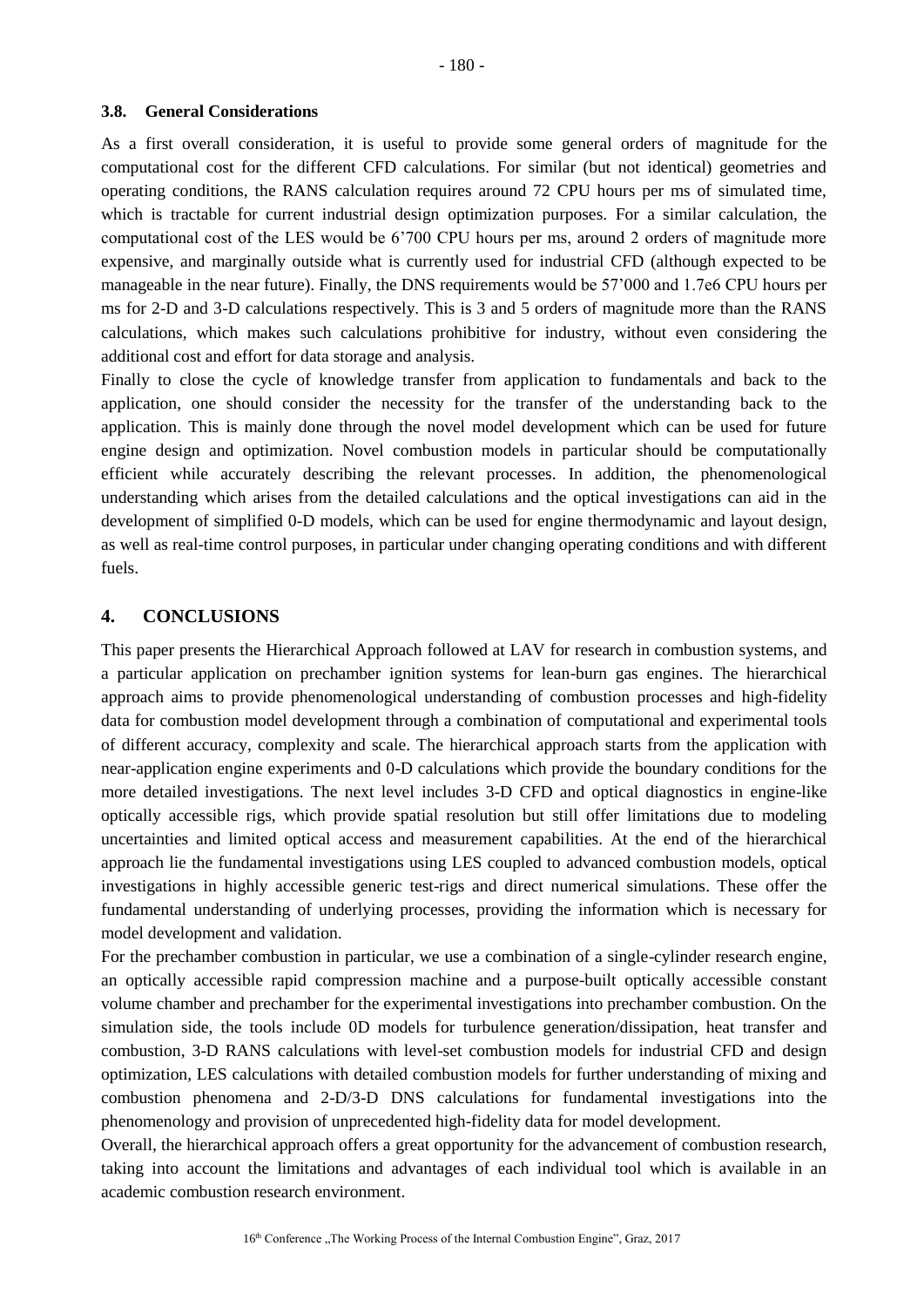#### **3.8. General Considerations**

As a first overall consideration, it is useful to provide some general orders of magnitude for the computational cost for the different CFD calculations. For similar (but not identical) geometries and operating conditions, the RANS calculation requires around 72 CPU hours per ms of simulated time, which is tractable for current industrial design optimization purposes. For a similar calculation, the computational cost of the LES would be 6'700 CPU hours per ms, around 2 orders of magnitude more expensive, and marginally outside what is currently used for industrial CFD (although expected to be manageable in the near future). Finally, the DNS requirements would be 57'000 and 1.7e6 CPU hours per ms for 2-D and 3-D calculations respectively. This is 3 and 5 orders of magnitude more than the RANS calculations, which makes such calculations prohibitive for industry, without even considering the additional cost and effort for data storage and analysis.

Finally to close the cycle of knowledge transfer from application to fundamentals and back to the application, one should consider the necessity for the transfer of the understanding back to the application. This is mainly done through the novel model development which can be used for future engine design and optimization. Novel combustion models in particular should be computationally efficient while accurately describing the relevant processes. In addition, the phenomenological understanding which arises from the detailed calculations and the optical investigations can aid in the development of simplified 0-D models, which can be used for engine thermodynamic and layout design, as well as real-time control purposes, in particular under changing operating conditions and with different fuels.

# **4. CONCLUSIONS**

This paper presents the Hierarchical Approach followed at LAV for research in combustion systems, and a particular application on prechamber ignition systems for lean-burn gas engines. The hierarchical approach aims to provide phenomenological understanding of combustion processes and high-fidelity data for combustion model development through a combination of computational and experimental tools of different accuracy, complexity and scale. The hierarchical approach starts from the application with near-application engine experiments and 0-D calculations which provide the boundary conditions for the more detailed investigations. The next level includes 3-D CFD and optical diagnostics in engine-like optically accessible rigs, which provide spatial resolution but still offer limitations due to modeling uncertainties and limited optical access and measurement capabilities. At the end of the hierarchical approach lie the fundamental investigations using LES coupled to advanced combustion models, optical investigations in highly accessible generic test-rigs and direct numerical simulations. These offer the fundamental understanding of underlying processes, providing the information which is necessary for model development and validation.

For the prechamber combustion in particular, we use a combination of a single-cylinder research engine, an optically accessible rapid compression machine and a purpose-built optically accessible constant volume chamber and prechamber for the experimental investigations into prechamber combustion. On the simulation side, the tools include 0D models for turbulence generation/dissipation, heat transfer and combustion, 3-D RANS calculations with level-set combustion models for industrial CFD and design optimization, LES calculations with detailed combustion models for further understanding of mixing and combustion phenomena and 2-D/3-D DNS calculations for fundamental investigations into the phenomenology and provision of unprecedented high-fidelity data for model development.

Overall, the hierarchical approach offers a great opportunity for the advancement of combustion research, taking into account the limitations and advantages of each individual tool which is available in an academic combustion research environment.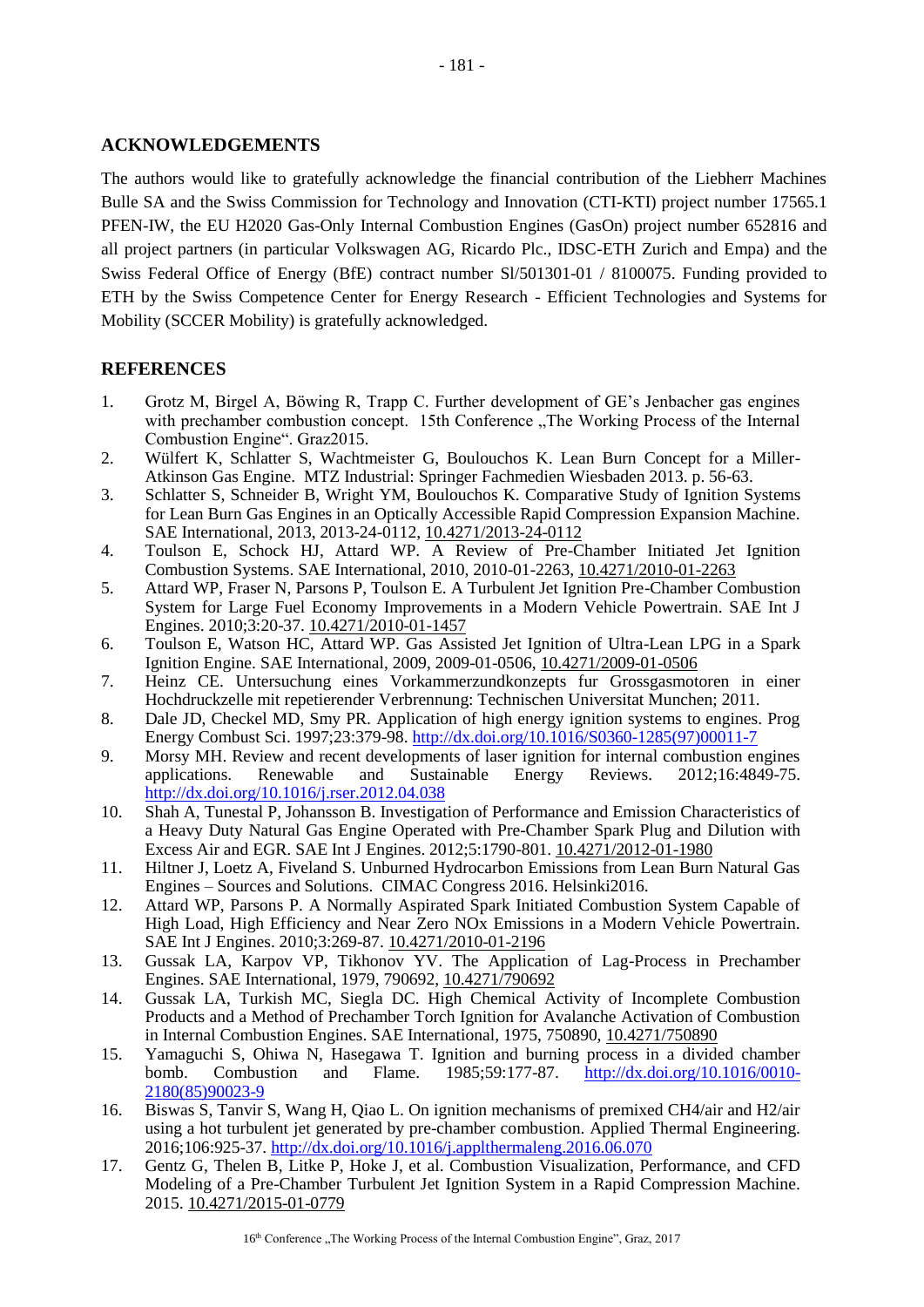# **ACKNOWLEDGEMENTS**

The authors would like to gratefully acknowledge the financial contribution of the Liebherr Machines Bulle SA and the Swiss Commission for Technology and Innovation (CTI-KTI) project number 17565.1 PFEN-IW, the EU H2020 Gas-Only Internal Combustion Engines (GasOn) project number 652816 and all project partners (in particular Volkswagen AG, Ricardo Plc., IDSC-ETH Zurich and Empa) and the Swiss Federal Office of Energy (BfE) contract number Sl/501301-01 / 8100075. Funding provided to ETH by the Swiss Competence Center for Energy Research - Efficient Technologies and Systems for Mobility (SCCER Mobility) is gratefully acknowledged.

# **REFERENCES**

- <span id="page-14-0"></span>1. Grotz M, Birgel A, Böwing R, Trapp C. Further development of GE's Jenbacher gas engines with prechamber combustion concept. 15th Conference The Working Process of the Internal Combustion Engine". Graz2015.
- 2. Wülfert K, Schlatter S, Wachtmeister G, Boulouchos K. Lean Burn Concept for a Miller-Atkinson Gas Engine. MTZ Industrial: Springer Fachmedien Wiesbaden 2013. p. 56-63.
- <span id="page-14-11"></span>3. Schlatter S, Schneider B, Wright YM, Boulouchos K. Comparative Study of Ignition Systems for Lean Burn Gas Engines in an Optically Accessible Rapid Compression Expansion Machine. SAE International, 2013, 2013-24-0112, 10.4271/2013-24-0112
- <span id="page-14-1"></span>4. Toulson E, Schock HJ, Attard WP. A Review of Pre-Chamber Initiated Jet Ignition Combustion Systems. SAE International, 2010, 2010-01-2263, 10.4271/2010-01-2263
- <span id="page-14-3"></span>5. Attard WP, Fraser N, Parsons P, Toulson E. A Turbulent Jet Ignition Pre-Chamber Combustion System for Large Fuel Economy Improvements in a Modern Vehicle Powertrain. SAE Int J Engines. 2010;3:20-37. 10.4271/2010-01-1457
- <span id="page-14-4"></span>6. Toulson E, Watson HC, Attard WP. Gas Assisted Jet Ignition of Ultra-Lean LPG in a Spark Ignition Engine. SAE International, 2009, 2009-01-0506, 10.4271/2009-01-0506
- 7. Heinz CE. Untersuchung eines Vorkammerzundkonzepts fur Grossgasmotoren in einer Hochdruckzelle mit repetierender Verbrennung: Technischen Universitat Munchen; 2011.
- <span id="page-14-2"></span>8. Dale JD, Checkel MD, Smy PR. Application of high energy ignition systems to engines. Prog Energy Combust Sci. 1997;23:379-98. [http://dx.doi.org/10.1016/S0360-1285\(97\)00011-7](http://dx.doi.org/10.1016/S0360-1285(97)00011-7)
- 9. Morsy MH. Review and recent developments of laser ignition for internal combustion engines applications. Renewable and Sustainable Energy Reviews. 2012;16:4849-75. <http://dx.doi.org/10.1016/j.rser.2012.04.038>
- 10. Shah A, Tunestal P, Johansson B. Investigation of Performance and Emission Characteristics of a Heavy Duty Natural Gas Engine Operated with Pre-Chamber Spark Plug and Dilution with Excess Air and EGR. SAE Int J Engines. 2012;5:1790-801. 10.4271/2012-01-1980
- 11. Hiltner J, Loetz A, Fiveland S. Unburned Hydrocarbon Emissions from Lean Burn Natural Gas Engines – Sources and Solutions. CIMAC Congress 2016. Helsinki2016.
- <span id="page-14-5"></span>12. Attard WP, Parsons P. A Normally Aspirated Spark Initiated Combustion System Capable of High Load, High Efficiency and Near Zero NOx Emissions in a Modern Vehicle Powertrain. SAE Int J Engines. 2010;3:269-87. 10.4271/2010-01-2196
- <span id="page-14-6"></span>13. Gussak LA, Karpov VP, Tikhonov YV. The Application of Lag-Process in Prechamber Engines. SAE International, 1979, 790692, 10.4271/790692
- <span id="page-14-7"></span>14. Gussak LA, Turkish MC, Siegla DC. High Chemical Activity of Incomplete Combustion Products and a Method of Prechamber Torch Ignition for Avalanche Activation of Combustion in Internal Combustion Engines. SAE International, 1975, 750890, 10.4271/750890
- <span id="page-14-8"></span>15. Yamaguchi S, Ohiwa N, Hasegawa T. Ignition and burning process in a divided chamber bomb. Combustion and Flame. 1985;59:177-87. [http://dx.doi.org/10.1016/0010-](http://dx.doi.org/10.1016/0010-2180(85)90023-9) [2180\(85\)90023-9](http://dx.doi.org/10.1016/0010-2180(85)90023-9)
- <span id="page-14-9"></span>16. Biswas S, Tanvir S, Wang H, Qiao L. On ignition mechanisms of premixed CH4/air and H2/air using a hot turbulent jet generated by pre-chamber combustion. Applied Thermal Engineering. 2016;106:925-37.<http://dx.doi.org/10.1016/j.applthermaleng.2016.06.070>
- <span id="page-14-10"></span>17. Gentz G, Thelen B, Litke P, Hoke J, et al. Combustion Visualization, Performance, and CFD Modeling of a Pre-Chamber Turbulent Jet Ignition System in a Rapid Compression Machine. 2015. 10.4271/2015-01-0779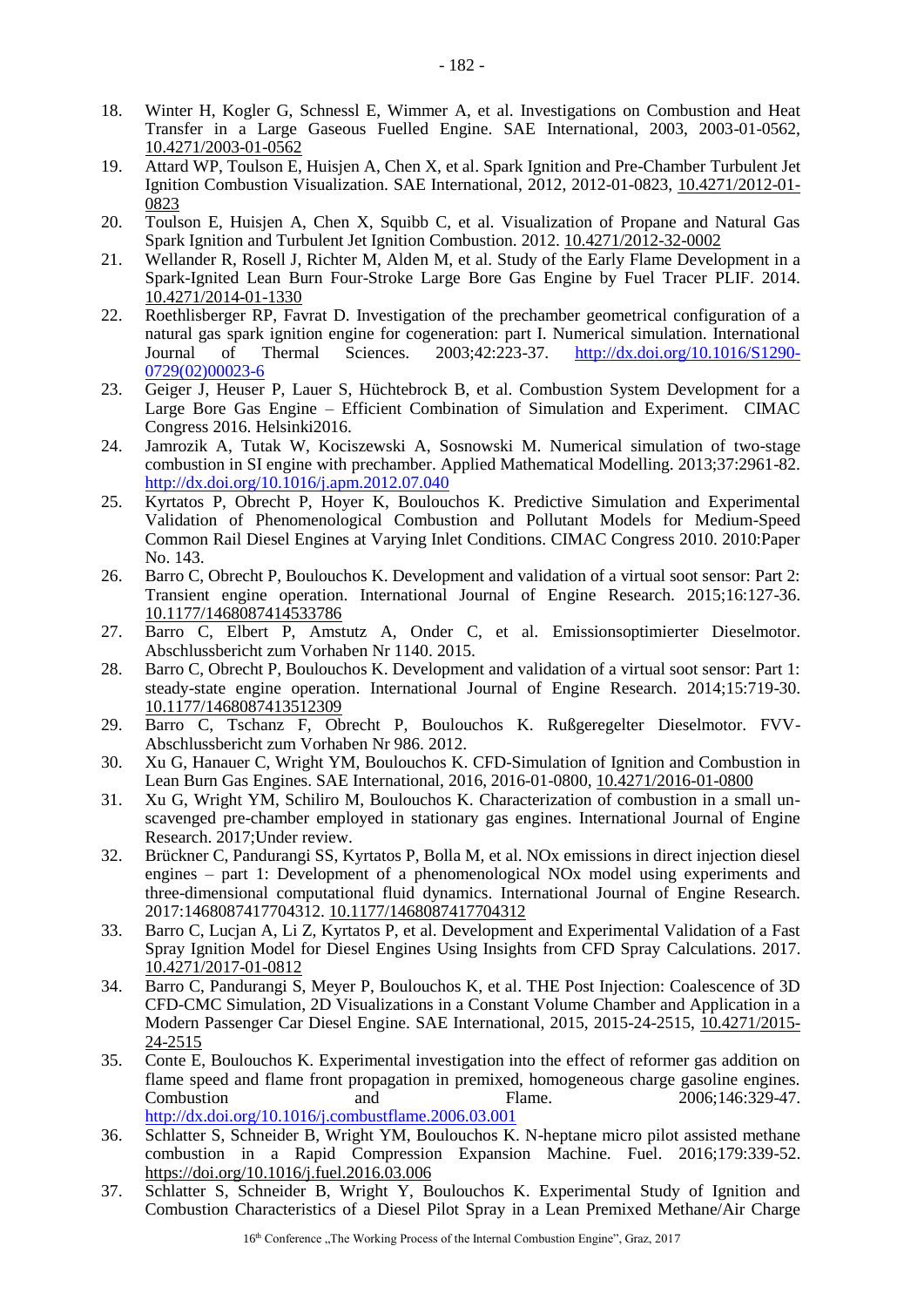- <span id="page-15-0"></span>18. Winter H, Kogler G, Schnessl E, Wimmer A, et al. Investigations on Combustion and Heat Transfer in a Large Gaseous Fuelled Engine. SAE International, 2003, 2003-01-0562, 10.4271/2003-01-0562
- 19. Attard WP, Toulson E, Huisjen A, Chen X, et al. Spark Ignition and Pre-Chamber Turbulent Jet Ignition Combustion Visualization. SAE International, 2012, 2012-01-0823, 10.4271/2012-01- 0823
- 20. Toulson E, Huisjen A, Chen X, Squibb C, et al. Visualization of Propane and Natural Gas Spark Ignition and Turbulent Jet Ignition Combustion. 2012. 10.4271/2012-32-0002
- <span id="page-15-1"></span>21. Wellander R, Rosell J, Richter M, Alden M, et al. Study of the Early Flame Development in a Spark-Ignited Lean Burn Four-Stroke Large Bore Gas Engine by Fuel Tracer PLIF. 2014. 10.4271/2014-01-1330
- 22. Roethlisberger RP, Favrat D. Investigation of the prechamber geometrical configuration of a natural gas spark ignition engine for cogeneration: part I. Numerical simulation. International Journal of Thermal Sciences. 2003;42:223-37. [http://dx.doi.org/10.1016/S1290-](http://dx.doi.org/10.1016/S1290-0729(02)00023-6) [0729\(02\)00023-6](http://dx.doi.org/10.1016/S1290-0729(02)00023-6)
- 23. Geiger J, Heuser P, Lauer S, Hüchtebrock B, et al. Combustion System Development for a Large Bore Gas Engine – Efficient Combination of Simulation and Experiment. CIMAC Congress 2016. Helsinki2016.
- 24. Jamrozik A, Tutak W, Kociszewski A, Sosnowski M. Numerical simulation of two-stage combustion in SI engine with prechamber. Applied Mathematical Modelling. 2013;37:2961-82. <http://dx.doi.org/10.1016/j.apm.2012.07.040>
- <span id="page-15-2"></span>25. Kyrtatos P, Obrecht P, Hoyer K, Boulouchos K. Predictive Simulation and Experimental Validation of Phenomenological Combustion and Pollutant Models for Medium-Speed Common Rail Diesel Engines at Varying Inlet Conditions. CIMAC Congress 2010. 2010:Paper No. 143.
- <span id="page-15-3"></span>26. Barro C, Obrecht P, Boulouchos K. Development and validation of a virtual soot sensor: Part 2: Transient engine operation. International Journal of Engine Research. 2015;16:127-36. 10.1177/1468087414533786
- 27. Barro C, Elbert P, Amstutz A, Onder C, et al. Emissionsoptimierter Dieselmotor. Abschlussbericht zum Vorhaben Nr 1140. 2015.
- 28. Barro C, Obrecht P, Boulouchos K. Development and validation of a virtual soot sensor: Part 1: steady-state engine operation. International Journal of Engine Research. 2014;15:719-30. 10.1177/1468087413512309
- 29. Barro C, Tschanz F, Obrecht P, Boulouchos K. Rußgeregelter Dieselmotor. FVV-Abschlussbericht zum Vorhaben Nr 986. 2012.
- <span id="page-15-4"></span>30. Xu G, Hanauer C, Wright YM, Boulouchos K. CFD-Simulation of Ignition and Combustion in Lean Burn Gas Engines. SAE International, 2016, 2016-01-0800, 10.4271/2016-01-0800
- <span id="page-15-5"></span>31. Xu G, Wright YM, Schiliro M, Boulouchos K. Characterization of combustion in a small unscavenged pre-chamber employed in stationary gas engines. International Journal of Engine Research. 2017;Under review.
- <span id="page-15-6"></span>32. Brückner C, Pandurangi SS, Kyrtatos P, Bolla M, et al. NOx emissions in direct injection diesel engines – part 1: Development of a phenomenological NOx model using experiments and three-dimensional computational fluid dynamics. International Journal of Engine Research. 2017:1468087417704312. 10.1177/1468087417704312
- 33. Barro C, Lucjan A, Li Z, Kyrtatos P, et al. Development and Experimental Validation of a Fast Spray Ignition Model for Diesel Engines Using Insights from CFD Spray Calculations. 2017. 10.4271/2017-01-0812
- 34. Barro C, Pandurangi S, Meyer P, Boulouchos K, et al. THE Post Injection: Coalescence of 3D CFD-CMC Simulation, 2D Visualizations in a Constant Volume Chamber and Application in a Modern Passenger Car Diesel Engine. SAE International, 2015, 2015-24-2515, 10.4271/2015- 24-2515
- <span id="page-15-7"></span>35. Conte E, Boulouchos K. Experimental investigation into the effect of reformer gas addition on flame speed and flame front propagation in premixed, homogeneous charge gasoline engines. Combustion and Flame. 2006;146:329-47. <http://dx.doi.org/10.1016/j.combustflame.2006.03.001>
- 36. Schlatter S, Schneider B, Wright YM, Boulouchos K. N-heptane micro pilot assisted methane combustion in a Rapid Compression Expansion Machine. Fuel. 2016;179:339-52. https://doi.org/10.1016/j.fuel.2016.03.006
- 37. Schlatter S, Schneider B, Wright Y, Boulouchos K. Experimental Study of Ignition and Combustion Characteristics of a Diesel Pilot Spray in a Lean Premixed Methane/Air Charge